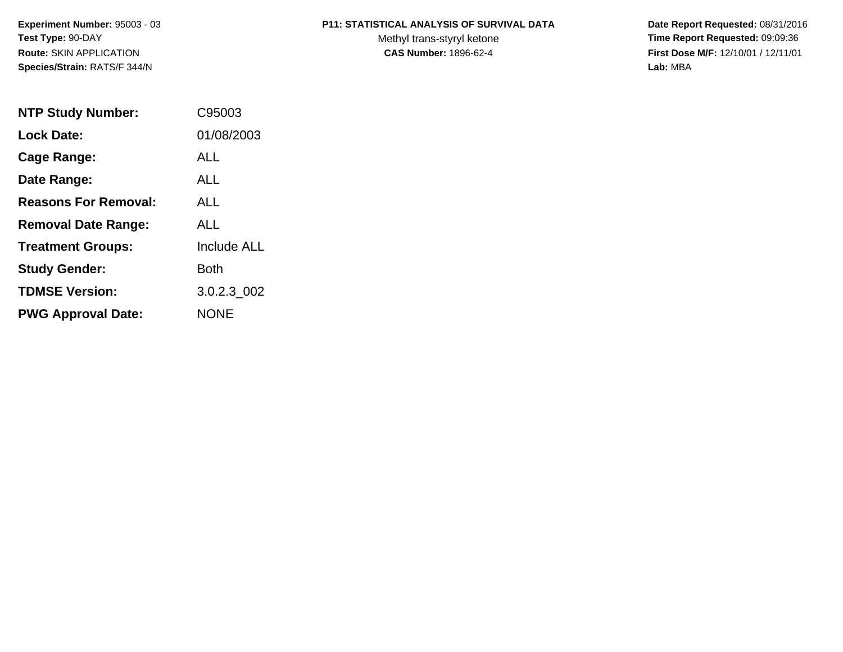**Experiment Number:** 95003 - 03**Test Type:** 90-DAY**Route:** SKIN APPLICATION**Species/Strain:** RATS/F 344/N

### **P11: STATISTICAL ANALYSIS OF SURVIVAL DATA**

Methyl trans-styryl ketone<br>CAS Number: 1896-62-4

 **Date Report Requested:** 08/31/2016 **Time Report Requested:** 09:09:36 **First Dose M/F:** 12/10/01 / 12/11/01<br>Lab: MBA **Lab:** MBA

| <b>NTP Study Number:</b>    | C95003             |
|-----------------------------|--------------------|
| Lock Date:                  | 01/08/2003         |
| Cage Range:                 | ALL                |
| Date Range:                 | AI I               |
| <b>Reasons For Removal:</b> | AI I               |
| <b>Removal Date Range:</b>  | ALL                |
| <b>Treatment Groups:</b>    | <b>Include ALL</b> |
| <b>Study Gender:</b>        | Both               |
| <b>TDMSE Version:</b>       | 3.0.2.3 002        |
| <b>PWG Approval Date:</b>   | <b>NONE</b>        |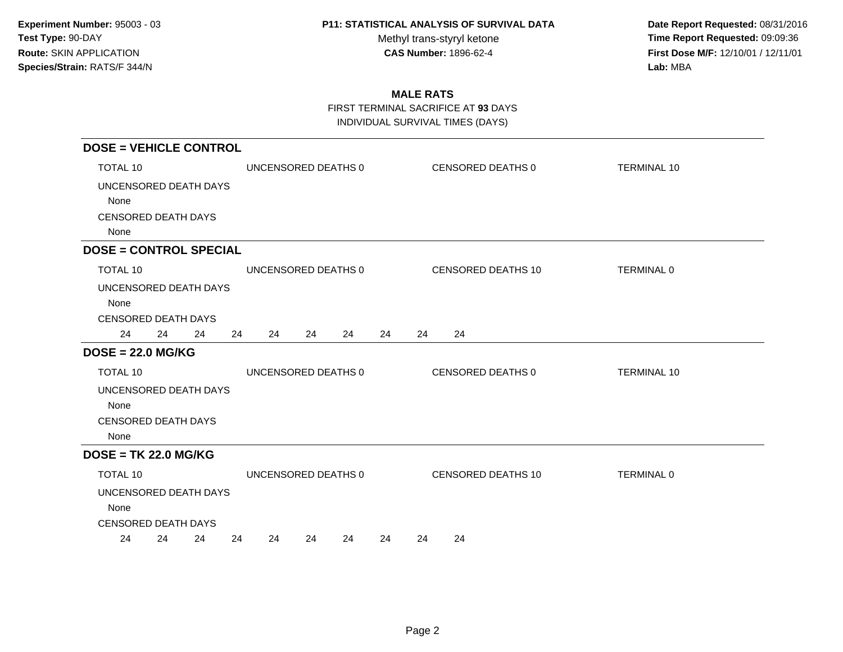Methyl trans-styryl ketone<br>CAS Number: 1896-62-4

 **Date Report Requested:** 08/31/2016 **Time Report Requested:** 09:09:36 **First Dose M/F:** 12/10/01 / 12/11/01<br>Lab: MBA **Lab:** MBA

## **MALE RATS**

FIRST TERMINAL SACRIFICE AT **93** DAYS

| <b>DOSE = VEHICLE CONTROL</b> |    |    |    |                     |    |    |    |    |    |                    |                    |
|-------------------------------|----|----|----|---------------------|----|----|----|----|----|--------------------|--------------------|
| TOTAL 10                      |    |    |    | UNCENSORED DEATHS 0 |    |    |    |    |    | CENSORED DEATHS 0  | <b>TERMINAL 10</b> |
| UNCENSORED DEATH DAYS         |    |    |    |                     |    |    |    |    |    |                    |                    |
| None                          |    |    |    |                     |    |    |    |    |    |                    |                    |
| <b>CENSORED DEATH DAYS</b>    |    |    |    |                     |    |    |    |    |    |                    |                    |
| None                          |    |    |    |                     |    |    |    |    |    |                    |                    |
| <b>DOSE = CONTROL SPECIAL</b> |    |    |    |                     |    |    |    |    |    |                    |                    |
| TOTAL 10                      |    |    |    | UNCENSORED DEATHS 0 |    |    |    |    |    | CENSORED DEATHS 10 | TERMINAL 0         |
| UNCENSORED DEATH DAYS         |    |    |    |                     |    |    |    |    |    |                    |                    |
| None                          |    |    |    |                     |    |    |    |    |    |                    |                    |
| <b>CENSORED DEATH DAYS</b>    |    |    |    |                     |    |    |    |    |    |                    |                    |
| 24                            | 24 | 24 | 24 | 24                  | 24 | 24 | 24 | 24 | 24 |                    |                    |
| $DOSE = 22.0 MG/KG$           |    |    |    |                     |    |    |    |    |    |                    |                    |
| TOTAL 10                      |    |    |    | UNCENSORED DEATHS 0 |    |    |    |    |    | CENSORED DEATHS 0  | <b>TERMINAL 10</b> |
| UNCENSORED DEATH DAYS         |    |    |    |                     |    |    |    |    |    |                    |                    |
| None                          |    |    |    |                     |    |    |    |    |    |                    |                    |
| <b>CENSORED DEATH DAYS</b>    |    |    |    |                     |    |    |    |    |    |                    |                    |
| None                          |    |    |    |                     |    |    |    |    |    |                    |                    |
| $DOSE = TK 22.0 MG/KG$        |    |    |    |                     |    |    |    |    |    |                    |                    |
| TOTAL 10                      |    |    |    | UNCENSORED DEATHS 0 |    |    |    |    |    | CENSORED DEATHS 10 | TERMINAL 0         |
| UNCENSORED DEATH DAYS         |    |    |    |                     |    |    |    |    |    |                    |                    |
| None                          |    |    |    |                     |    |    |    |    |    |                    |                    |
| <b>CENSORED DEATH DAYS</b>    |    |    |    |                     |    |    |    |    |    |                    |                    |
| 24                            | 24 | 24 | 24 | 24                  | 24 | 24 | 24 | 24 | 24 |                    |                    |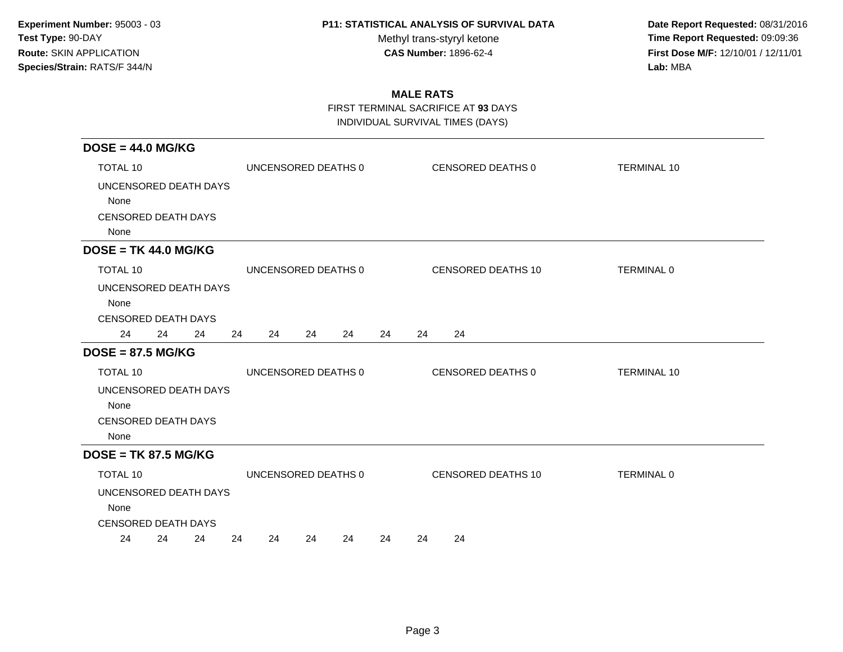Methyl trans-styryl ketone<br>CAS Number: 1896-62-4

 **Date Report Requested:** 08/31/2016 **Time Report Requested:** 09:09:36 **First Dose M/F:** 12/10/01 / 12/11/01<br>Lab: MBA **Lab:** MBA

## **MALE RATS**

FIRST TERMINAL SACRIFICE AT **93** DAYS

| $DOSE = 44.0 MG/KG$                                                 |          |                     |    |                    |                    |
|---------------------------------------------------------------------|----------|---------------------|----|--------------------|--------------------|
| <b>TOTAL 10</b>                                                     |          | UNCENSORED DEATHS 0 |    | CENSORED DEATHS 0  | <b>TERMINAL 10</b> |
| UNCENSORED DEATH DAYS<br>None<br><b>CENSORED DEATH DAYS</b><br>None |          |                     |    |                    |                    |
| $DOSE = TK 44.0 MG/KG$                                              |          |                     |    |                    |                    |
| <b>TOTAL 10</b>                                                     |          | UNCENSORED DEATHS 0 |    | CENSORED DEATHS 10 | <b>TERMINAL 0</b>  |
| UNCENSORED DEATH DAYS<br>None<br><b>CENSORED DEATH DAYS</b>         |          |                     |    |                    |                    |
| 24<br>24<br>24                                                      | 24<br>24 | 24<br>24            | 24 | 24<br>24           |                    |
| $DOSE = 87.5 MG/KG$                                                 |          |                     |    |                    |                    |
| <b>TOTAL 10</b>                                                     |          | UNCENSORED DEATHS 0 |    | CENSORED DEATHS 0  | <b>TERMINAL 10</b> |
| UNCENSORED DEATH DAYS<br>None<br><b>CENSORED DEATH DAYS</b><br>None |          |                     |    |                    |                    |
| $DOSE = TK 87.5 MG/KG$                                              |          |                     |    |                    |                    |
| TOTAL 10                                                            |          | UNCENSORED DEATHS 0 |    | CENSORED DEATHS 10 | <b>TERMINAL 0</b>  |
| UNCENSORED DEATH DAYS<br>None<br><b>CENSORED DEATH DAYS</b>         |          |                     |    |                    |                    |
| 24<br>24<br>24                                                      | 24<br>24 | 24<br>24            | 24 | 24<br>24           |                    |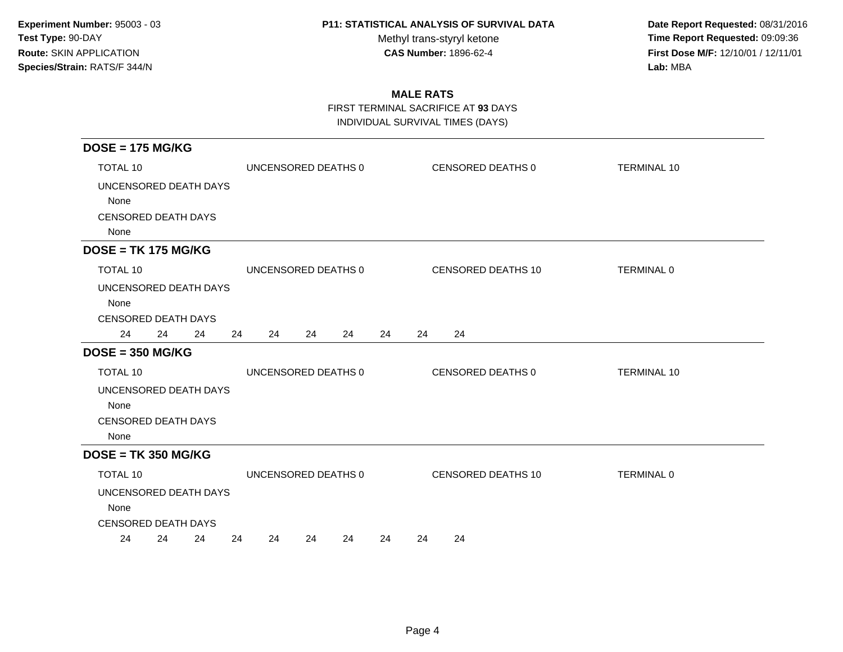Methyl trans-styryl ketone<br>CAS Number: 1896-62-4

 **Date Report Requested:** 08/31/2016 **Time Report Requested:** 09:09:36 **First Dose M/F:** 12/10/01 / 12/11/01<br>Lab: MBA **Lab:** MBA

## **MALE RATS**

FIRST TERMINAL SACRIFICE AT **93** DAYS

| $DOSE = 175 MG/KG$                                                  |          |                     |    |                           |                    |
|---------------------------------------------------------------------|----------|---------------------|----|---------------------------|--------------------|
| <b>TOTAL 10</b>                                                     |          | UNCENSORED DEATHS 0 |    | CENSORED DEATHS 0         | <b>TERMINAL 10</b> |
| UNCENSORED DEATH DAYS<br>None<br><b>CENSORED DEATH DAYS</b><br>None |          |                     |    |                           |                    |
| $DOSE = TK 175 MG/KG$                                               |          |                     |    |                           |                    |
| <b>TOTAL 10</b>                                                     |          | UNCENSORED DEATHS 0 |    | <b>CENSORED DEATHS 10</b> | TERMINAL 0         |
| UNCENSORED DEATH DAYS<br>None<br><b>CENSORED DEATH DAYS</b>         |          |                     |    |                           |                    |
| 24<br>24<br>24                                                      | 24<br>24 | 24<br>24            | 24 | 24<br>24                  |                    |
| $DOSE = 350 MG/KG$                                                  |          |                     |    |                           |                    |
| <b>TOTAL 10</b>                                                     |          | UNCENSORED DEATHS 0 |    | <b>CENSORED DEATHS 0</b>  | <b>TERMINAL 10</b> |
| UNCENSORED DEATH DAYS<br>None<br><b>CENSORED DEATH DAYS</b><br>None |          |                     |    |                           |                    |
| $DOSE = TK 350 MG/KG$                                               |          |                     |    |                           |                    |
| TOTAL 10                                                            |          | UNCENSORED DEATHS 0 |    | CENSORED DEATHS 10        | <b>TERMINAL 0</b>  |
| UNCENSORED DEATH DAYS<br>None<br><b>CENSORED DEATH DAYS</b>         |          |                     |    |                           |                    |
| 24<br>24<br>24                                                      | 24<br>24 | 24<br>24            | 24 | 24<br>24                  |                    |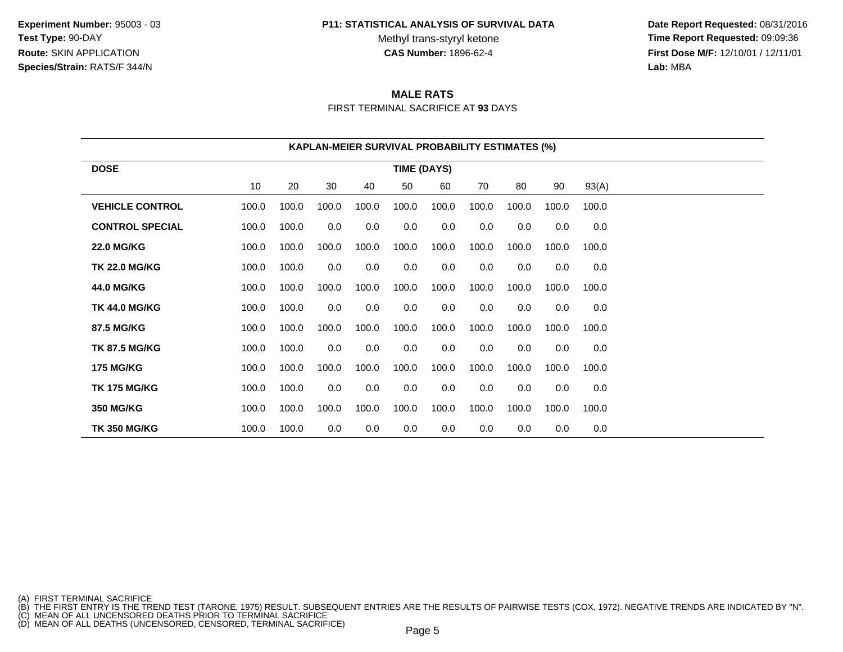**Experiment Number:** 95003 - 03**Test Type:** 90-DAY**Route:** SKIN APPLICATION**Species/Strain:** RATS/F 344/N

#### **P11: STATISTICAL ANALYSIS OF SURVIVAL DATA**

Methyl trans-styryl ketone<br>CAS Number: 1896-62-4

 **Date Report Requested:** 08/31/2016 **Time Report Requested:** 09:09:36 **First Dose M/F:** 12/10/01 / 12/11/01<br>**Lab:** MBA **Lab:** MBA

# **MALE RATS**

FIRST TERMINAL SACRIFICE AT **93** DAYS

|                        | <b>KAPLAN-MEIER SURVIVAL PROBABILITY ESTIMATES (%)</b> |       |       |       |                    |       |       |       |       |       |  |  |
|------------------------|--------------------------------------------------------|-------|-------|-------|--------------------|-------|-------|-------|-------|-------|--|--|
| <b>DOSE</b>            |                                                        |       |       |       | <b>TIME (DAYS)</b> |       |       |       |       |       |  |  |
|                        | 10                                                     | 20    | 30    | 40    | 50                 | 60    | 70    | 80    | 90    | 93(A) |  |  |
| <b>VEHICLE CONTROL</b> | 100.0                                                  | 100.0 | 100.0 | 100.0 | 100.0              | 100.0 | 100.0 | 100.0 | 100.0 | 100.0 |  |  |
| <b>CONTROL SPECIAL</b> | 100.0                                                  | 100.0 | 0.0   | 0.0   | 0.0                | 0.0   | 0.0   | 0.0   | 0.0   | 0.0   |  |  |
| <b>22.0 MG/KG</b>      | 100.0                                                  | 100.0 | 100.0 | 100.0 | 100.0              | 100.0 | 100.0 | 100.0 | 100.0 | 100.0 |  |  |
| <b>TK 22.0 MG/KG</b>   | 100.0                                                  | 100.0 | 0.0   | 0.0   | 0.0                | 0.0   | 0.0   | 0.0   | 0.0   | 0.0   |  |  |
| <b>44.0 MG/KG</b>      | 100.0                                                  | 100.0 | 100.0 | 100.0 | 100.0              | 100.0 | 100.0 | 100.0 | 100.0 | 100.0 |  |  |
| <b>TK 44.0 MG/KG</b>   | 100.0                                                  | 100.0 | 0.0   | 0.0   | 0.0                | 0.0   | 0.0   | 0.0   | 0.0   | 0.0   |  |  |
| 87.5 MG/KG             | 100.0                                                  | 100.0 | 100.0 | 100.0 | 100.0              | 100.0 | 100.0 | 100.0 | 100.0 | 100.0 |  |  |
| <b>TK 87.5 MG/KG</b>   | 100.0                                                  | 100.0 | 0.0   | 0.0   | 0.0                | 0.0   | 0.0   | 0.0   | 0.0   | 0.0   |  |  |
| <b>175 MG/KG</b>       | 100.0                                                  | 100.0 | 100.0 | 100.0 | 100.0              | 100.0 | 100.0 | 100.0 | 100.0 | 100.0 |  |  |
| <b>TK 175 MG/KG</b>    | 100.0                                                  | 100.0 | 0.0   | 0.0   | 0.0                | 0.0   | 0.0   | 0.0   | 0.0   | 0.0   |  |  |
| 350 MG/KG              | 100.0                                                  | 100.0 | 100.0 | 100.0 | 100.0              | 100.0 | 100.0 | 100.0 | 100.0 | 100.0 |  |  |
| <b>TK 350 MG/KG</b>    | 100.0                                                  | 100.0 | 0.0   | 0.0   | $0.0\,$            | 0.0   | 0.0   | 0.0   | 0.0   | 0.0   |  |  |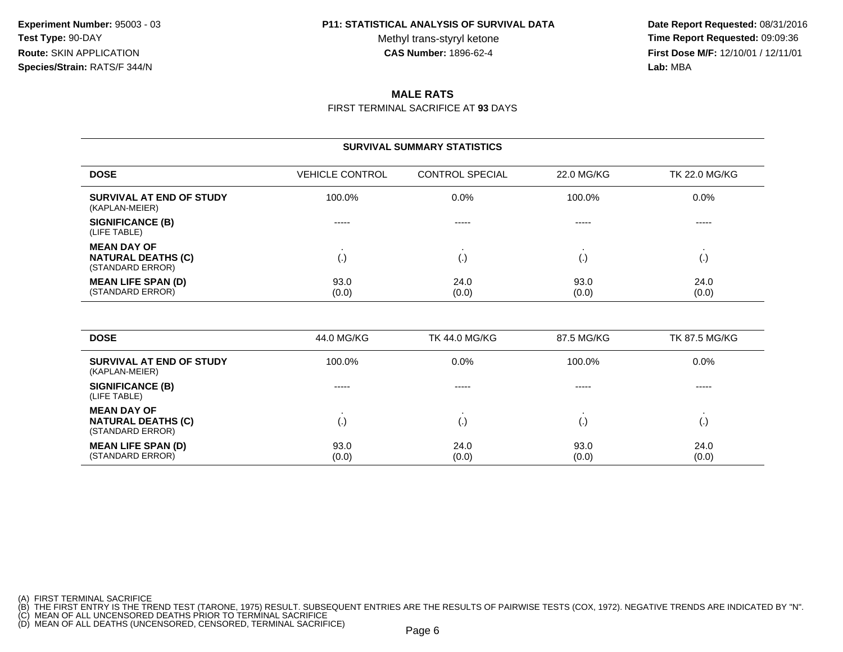Methyl trans-styryl ketone<br>CAS Number: 1896-62-4

 **Date Report Requested:** 08/31/2016 **Time Report Requested:** 09:09:36 **First Dose M/F:** 12/10/01 / 12/11/01<br>**Lab:** MBA **Lab:** MBA

### **MALE RATS**

FIRST TERMINAL SACRIFICE AT **93** DAYS

|                                                                     | <b>SURVIVAL SUMMARY STATISTICS</b> |                        |               |                      |  |  |  |  |  |  |  |  |
|---------------------------------------------------------------------|------------------------------------|------------------------|---------------|----------------------|--|--|--|--|--|--|--|--|
| <b>DOSE</b>                                                         | <b>VEHICLE CONTROL</b>             | <b>CONTROL SPECIAL</b> | 22.0 MG/KG    | <b>TK 22.0 MG/KG</b> |  |  |  |  |  |  |  |  |
| SURVIVAL AT END OF STUDY<br>(KAPLAN-MEIER)                          | 100.0%                             | 0.0%                   | 100.0%        | $0.0\%$              |  |  |  |  |  |  |  |  |
| SIGNIFICANCE (B)<br>(LIFE TABLE)                                    | -----                              | $- - - - -$            | -----         | -----                |  |  |  |  |  |  |  |  |
| <b>MEAN DAY OF</b><br><b>NATURAL DEATHS (C)</b><br>(STANDARD ERROR) | $\left( . \right)$                 | €.                     | $\cdot$       | (.)                  |  |  |  |  |  |  |  |  |
| <b>MEAN LIFE SPAN (D)</b><br>(STANDARD ERROR)                       | 93.0<br>(0.0)                      | 24.0<br>(0.0)          | 93.0<br>(0.0) | 24.0<br>(0.0)        |  |  |  |  |  |  |  |  |

| <b>DOSE</b>                                                         | 44.0 MG/KG    | <b>TK 44.0 MG/KG</b> | 87.5 MG/KG    | <b>TK 87.5 MG/KG</b> |
|---------------------------------------------------------------------|---------------|----------------------|---------------|----------------------|
| SURVIVAL AT END OF STUDY<br>(KAPLAN-MEIER)                          | 100.0%        | $0.0\%$              | 100.0%        | $0.0\%$              |
| <b>SIGNIFICANCE (B)</b><br>(LIFE TABLE)                             | -----         | $- - - - -$          | -----         | -----                |
| <b>MEAN DAY OF</b><br><b>NATURAL DEATHS (C)</b><br>(STANDARD ERROR) | (٠)           | l٠                   |               |                      |
| <b>MEAN LIFE SPAN (D)</b><br>(STANDARD ERROR)                       | 93.0<br>(0.0) | 24.0<br>(0.0)        | 93.0<br>(0.0) | 24.0<br>(0.0)        |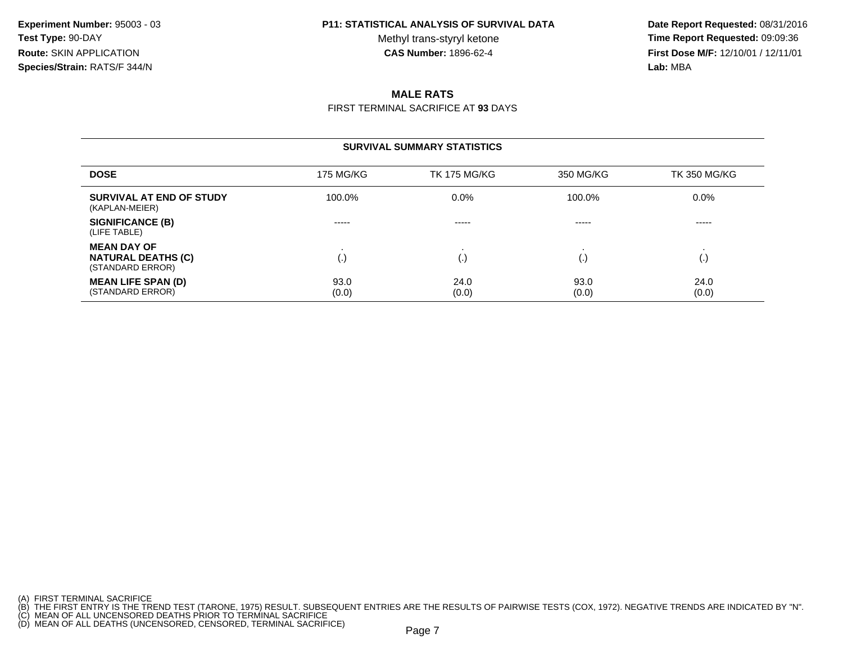Methyl trans-styryl ketone<br>CAS Number: 1896-62-4

 **Date Report Requested:** 08/31/2016 **Time Report Requested:** 09:09:36 **First Dose M/F:** 12/10/01 / 12/11/01<br>**Lab:** MBA **Lab:** MBA

## **MALE RATS**

FIRST TERMINAL SACRIFICE AT **93** DAYS

|                                                                     |                  | <b>SURVIVAL SUMMARY STATISTICS</b> |               |                     |
|---------------------------------------------------------------------|------------------|------------------------------------|---------------|---------------------|
| <b>DOSE</b>                                                         | <b>175 MG/KG</b> | <b>TK 175 MG/KG</b>                | 350 MG/KG     | <b>TK 350 MG/KG</b> |
| SURVIVAL AT END OF STUDY<br>(KAPLAN-MEIER)                          | 100.0%           | $0.0\%$                            | 100.0%        | $0.0\%$             |
| <b>SIGNIFICANCE (B)</b><br>(LIFE TABLE)                             | -----            | -----                              | -----         | -----               |
| <b>MEAN DAY OF</b><br><b>NATURAL DEATHS (C)</b><br>(STANDARD ERROR) | (.)              | (.,                                | I.,           | (. J                |
| <b>MEAN LIFE SPAN (D)</b><br>(STANDARD ERROR)                       | 93.0<br>(0.0)    | 24.0<br>(0.0)                      | 93.0<br>(0.0) | 24.0<br>(0.0)       |

<sup>(</sup>A) FIRST TERMINAL SACRIFICE<br>(B) THE FIRST ENTRY IS THE TREND TEST (TARONE, 1975) RESULT. SUBSEQUENT ENTRIES ARE THE RESULTS OF PAIRWISE TESTS (COX, 1972). NEGATIVE TRENDS ARE INDICATED BY "N".<br>(C) MEAN OF ALL UNCENSORED D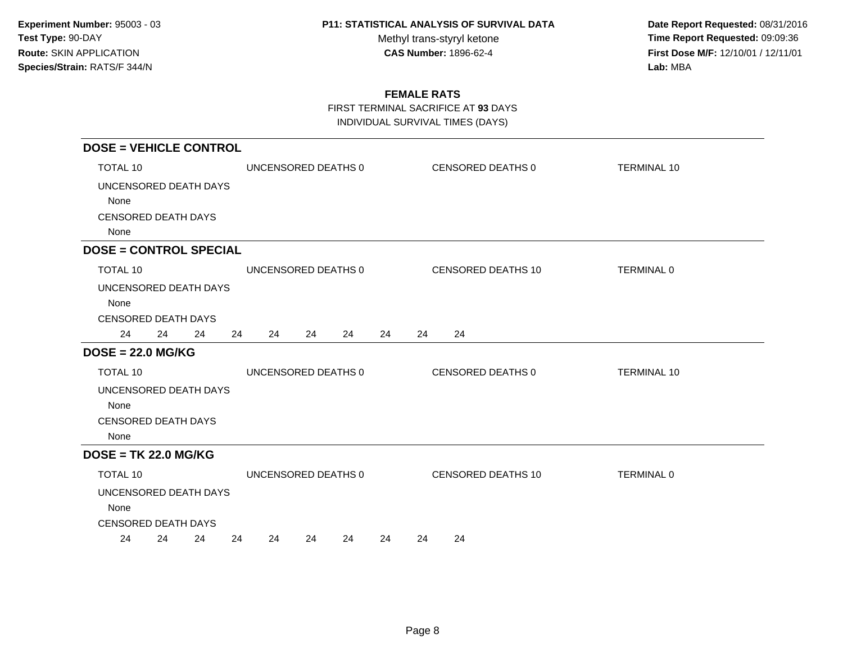Methyl trans-styryl ketone<br>CAS Number: 1896-62-4

 **Date Report Requested:** 08/31/2016 **Time Report Requested:** 09:09:36 **First Dose M/F:** 12/10/01 / 12/11/01<br>Lab: MBA **Lab:** MBA

## **FEMALE RATS**

FIRST TERMINAL SACRIFICE AT **93** DAYS

| <b>DOSE = VEHICLE CONTROL</b>    |    |    |    |                     |    |    |    |    |                   |                    |                    |
|----------------------------------|----|----|----|---------------------|----|----|----|----|-------------------|--------------------|--------------------|
| TOTAL 10                         |    |    |    | UNCENSORED DEATHS 0 |    |    |    |    | CENSORED DEATHS 0 |                    | <b>TERMINAL 10</b> |
| UNCENSORED DEATH DAYS            |    |    |    |                     |    |    |    |    |                   |                    |                    |
| None                             |    |    |    |                     |    |    |    |    |                   |                    |                    |
| <b>CENSORED DEATH DAYS</b>       |    |    |    |                     |    |    |    |    |                   |                    |                    |
| None                             |    |    |    |                     |    |    |    |    |                   |                    |                    |
| <b>DOSE = CONTROL SPECIAL</b>    |    |    |    |                     |    |    |    |    |                   |                    |                    |
| TOTAL 10                         |    |    |    | UNCENSORED DEATHS 0 |    |    |    |    |                   | CENSORED DEATHS 10 | TERMINAL 0         |
| UNCENSORED DEATH DAYS            |    |    |    |                     |    |    |    |    |                   |                    |                    |
| None                             |    |    |    |                     |    |    |    |    |                   |                    |                    |
| <b>CENSORED DEATH DAYS</b><br>24 | 24 | 24 | 24 | 24                  | 24 | 24 | 24 | 24 | 24                |                    |                    |
| $DOSE = 22.0 MG/KG$              |    |    |    |                     |    |    |    |    |                   |                    |                    |
| TOTAL 10                         |    |    |    | UNCENSORED DEATHS 0 |    |    |    |    | CENSORED DEATHS 0 |                    | <b>TERMINAL 10</b> |
| UNCENSORED DEATH DAYS            |    |    |    |                     |    |    |    |    |                   |                    |                    |
| None                             |    |    |    |                     |    |    |    |    |                   |                    |                    |
| <b>CENSORED DEATH DAYS</b>       |    |    |    |                     |    |    |    |    |                   |                    |                    |
| None                             |    |    |    |                     |    |    |    |    |                   |                    |                    |
| $DOSE = TK 22.0 MG/KG$           |    |    |    |                     |    |    |    |    |                   |                    |                    |
| <b>TOTAL 10</b>                  |    |    |    | UNCENSORED DEATHS 0 |    |    |    |    |                   | CENSORED DEATHS 10 | <b>TERMINAL 0</b>  |
| UNCENSORED DEATH DAYS            |    |    |    |                     |    |    |    |    |                   |                    |                    |
| None                             |    |    |    |                     |    |    |    |    |                   |                    |                    |
| <b>CENSORED DEATH DAYS</b>       |    |    |    |                     |    |    |    |    |                   |                    |                    |
| 24                               | 24 | 24 | 24 | 24                  | 24 | 24 | 24 | 24 | 24                |                    |                    |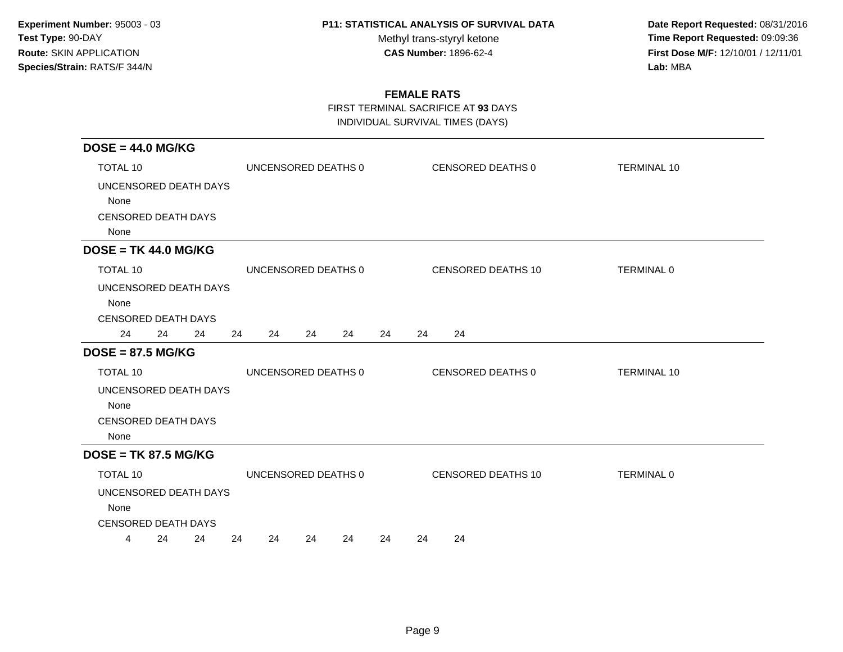Methyl trans-styryl ketone<br>CAS Number: 1896-62-4

 **Date Report Requested:** 08/31/2016 **Time Report Requested:** 09:09:36 **First Dose M/F:** 12/10/01 / 12/11/01<br>Lab: MBA **Lab:** MBA

### **FEMALE RATS**

FIRST TERMINAL SACRIFICE AT **93** DAYS

| $DOSE = 44.0 MG/KG$                                                 |          |                     |    |    |    |                           |                    |
|---------------------------------------------------------------------|----------|---------------------|----|----|----|---------------------------|--------------------|
| TOTAL 10                                                            |          | UNCENSORED DEATHS 0 |    |    |    | CENSORED DEATHS 0         | <b>TERMINAL 10</b> |
| UNCENSORED DEATH DAYS<br>None<br><b>CENSORED DEATH DAYS</b><br>None |          |                     |    |    |    |                           |                    |
| $DOSE = TK 44.0 MG/KG$                                              |          |                     |    |    |    |                           |                    |
| <b>TOTAL 10</b>                                                     |          | UNCENSORED DEATHS 0 |    |    |    | <b>CENSORED DEATHS 10</b> | TERMINAL 0         |
| UNCENSORED DEATH DAYS<br>None<br><b>CENSORED DEATH DAYS</b>         |          |                     |    |    |    |                           |                    |
| 24<br>24<br>24                                                      | 24<br>24 | 24                  | 24 | 24 | 24 | 24                        |                    |
| $DOSE = 87.5 MG/KG$                                                 |          |                     |    |    |    |                           |                    |
| <b>TOTAL 10</b>                                                     |          | UNCENSORED DEATHS 0 |    |    |    | CENSORED DEATHS 0         | <b>TERMINAL 10</b> |
| UNCENSORED DEATH DAYS<br>None<br><b>CENSORED DEATH DAYS</b><br>None |          |                     |    |    |    |                           |                    |
| $DOSE = TK 87.5 MG/KG$                                              |          |                     |    |    |    |                           |                    |
| TOTAL 10                                                            |          | UNCENSORED DEATHS 0 |    |    |    | <b>CENSORED DEATHS 10</b> | <b>TERMINAL 0</b>  |
| UNCENSORED DEATH DAYS<br>None<br><b>CENSORED DEATH DAYS</b>         |          |                     |    |    |    |                           |                    |
| 24<br>24<br>4                                                       | 24<br>24 | 24                  | 24 | 24 | 24 | 24                        |                    |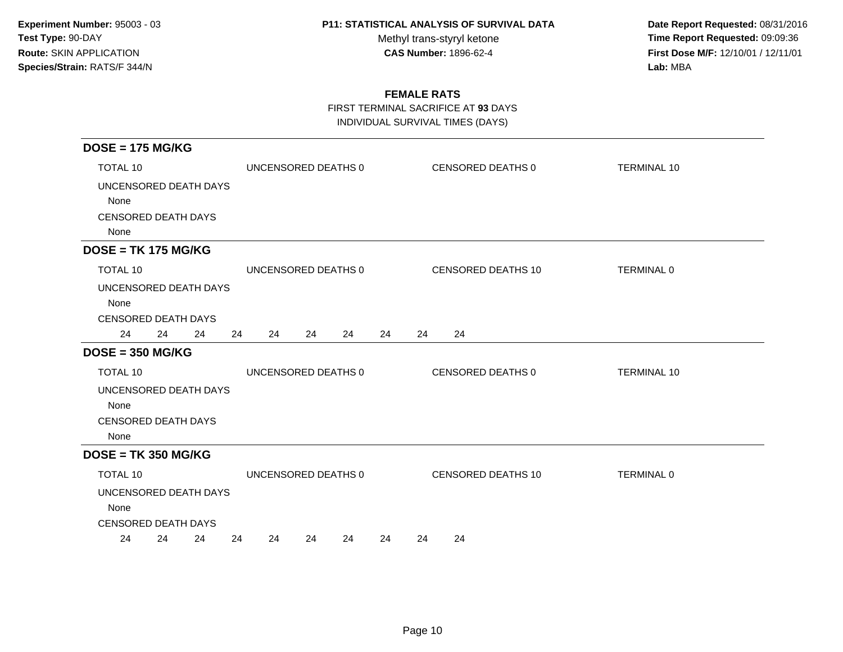Methyl trans-styryl ketone<br>CAS Number: 1896-62-4

 **Date Report Requested:** 08/31/2016 **Time Report Requested:** 09:09:36 **First Dose M/F:** 12/10/01 / 12/11/01<br>Lab: MBA **Lab:** MBA

## **FEMALE RATS**

FIRST TERMINAL SACRIFICE AT **93** DAYS

| $DOSE = 175 MG/KG$                                                  |    |                     |    |    |    |    |                    |                    |
|---------------------------------------------------------------------|----|---------------------|----|----|----|----|--------------------|--------------------|
| <b>TOTAL 10</b>                                                     |    | UNCENSORED DEATHS 0 |    |    |    |    | CENSORED DEATHS 0  | <b>TERMINAL 10</b> |
| UNCENSORED DEATH DAYS<br>None<br><b>CENSORED DEATH DAYS</b><br>None |    |                     |    |    |    |    |                    |                    |
| $DOSE = TK 175 MG/KG$                                               |    |                     |    |    |    |    |                    |                    |
| <b>TOTAL 10</b>                                                     |    | UNCENSORED DEATHS 0 |    |    |    |    | CENSORED DEATHS 10 | TERMINAL 0         |
| UNCENSORED DEATH DAYS<br>None<br><b>CENSORED DEATH DAYS</b>         |    |                     |    |    |    |    |                    |                    |
| 24<br>24<br>24                                                      | 24 | 24                  | 24 | 24 | 24 | 24 | 24                 |                    |
| $DOSE = 350 MG/KG$                                                  |    |                     |    |    |    |    |                    |                    |
| TOTAL 10                                                            |    | UNCENSORED DEATHS 0 |    |    |    |    | CENSORED DEATHS 0  | <b>TERMINAL 10</b> |
| UNCENSORED DEATH DAYS<br>None<br><b>CENSORED DEATH DAYS</b><br>None |    |                     |    |    |    |    |                    |                    |
| $DOSE = TK 350 MG/KG$                                               |    |                     |    |    |    |    |                    |                    |
| <b>TOTAL 10</b>                                                     |    | UNCENSORED DEATHS 0 |    |    |    |    | CENSORED DEATHS 10 | TERMINAL 0         |
| UNCENSORED DEATH DAYS<br>None<br><b>CENSORED DEATH DAYS</b>         |    |                     |    |    |    |    |                    |                    |
| 24<br>24<br>24                                                      | 24 | 24                  | 24 | 24 | 24 | 24 | 24                 |                    |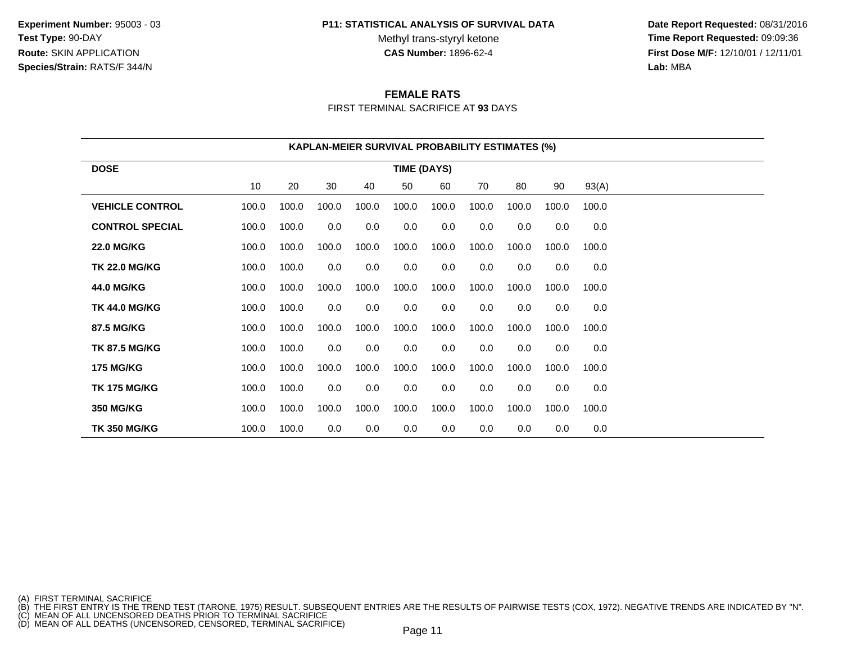**Experiment Number:** 95003 - 03**Test Type:** 90-DAY**Route:** SKIN APPLICATION**Species/Strain:** RATS/F 344/N

#### **P11: STATISTICAL ANALYSIS OF SURVIVAL DATA**

Methyl trans-styryl ketone<br>CAS Number: 1896-62-4

 **Date Report Requested:** 08/31/2016 **Time Report Requested:** 09:09:36 **First Dose M/F:** 12/10/01 / 12/11/01<br>**Lab:** MBA **Lab:** MBA

### **FEMALE RATS**

FIRST TERMINAL SACRIFICE AT **93** DAYS

|                        | <b>KAPLAN-MEIER SURVIVAL PROBABILITY ESTIMATES (%)</b> |       |       |       |                    |       |       |       |       |       |  |  |
|------------------------|--------------------------------------------------------|-------|-------|-------|--------------------|-------|-------|-------|-------|-------|--|--|
| <b>DOSE</b>            |                                                        |       |       |       | <b>TIME (DAYS)</b> |       |       |       |       |       |  |  |
|                        | 10                                                     | 20    | 30    | 40    | 50                 | 60    | 70    | 80    | 90    | 93(A) |  |  |
| <b>VEHICLE CONTROL</b> | 100.0                                                  | 100.0 | 100.0 | 100.0 | 100.0              | 100.0 | 100.0 | 100.0 | 100.0 | 100.0 |  |  |
| <b>CONTROL SPECIAL</b> | 100.0                                                  | 100.0 | 0.0   | 0.0   | 0.0                | 0.0   | 0.0   | 0.0   | 0.0   | 0.0   |  |  |
| <b>22.0 MG/KG</b>      | 100.0                                                  | 100.0 | 100.0 | 100.0 | 100.0              | 100.0 | 100.0 | 100.0 | 100.0 | 100.0 |  |  |
| <b>TK 22.0 MG/KG</b>   | 100.0                                                  | 100.0 | 0.0   | 0.0   | 0.0                | 0.0   | 0.0   | 0.0   | 0.0   | 0.0   |  |  |
| <b>44.0 MG/KG</b>      | 100.0                                                  | 100.0 | 100.0 | 100.0 | 100.0              | 100.0 | 100.0 | 100.0 | 100.0 | 100.0 |  |  |
| <b>TK 44.0 MG/KG</b>   | 100.0                                                  | 100.0 | 0.0   | 0.0   | 0.0                | 0.0   | 0.0   | 0.0   | 0.0   | 0.0   |  |  |
| 87.5 MG/KG             | 100.0                                                  | 100.0 | 100.0 | 100.0 | 100.0              | 100.0 | 100.0 | 100.0 | 100.0 | 100.0 |  |  |
| <b>TK 87.5 MG/KG</b>   | 100.0                                                  | 100.0 | 0.0   | 0.0   | 0.0                | 0.0   | 0.0   | 0.0   | 0.0   | 0.0   |  |  |
| <b>175 MG/KG</b>       | 100.0                                                  | 100.0 | 100.0 | 100.0 | 100.0              | 100.0 | 100.0 | 100.0 | 100.0 | 100.0 |  |  |
| <b>TK 175 MG/KG</b>    | 100.0                                                  | 100.0 | 0.0   | 0.0   | 0.0                | 0.0   | 0.0   | 0.0   | 0.0   | 0.0   |  |  |
| <b>350 MG/KG</b>       | 100.0                                                  | 100.0 | 100.0 | 100.0 | 100.0              | 100.0 | 100.0 | 100.0 | 100.0 | 100.0 |  |  |
| <b>TK 350 MG/KG</b>    | 100.0                                                  | 100.0 | 0.0   | 0.0   | 0.0                | 0.0   | 0.0   | 0.0   | 0.0   | 0.0   |  |  |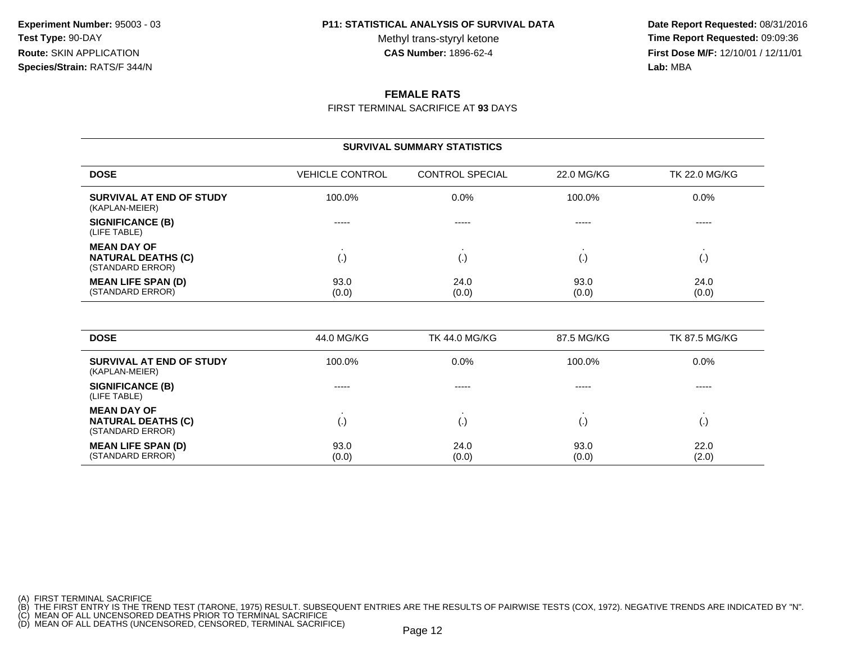Methyl trans-styryl ketone<br>CAS Number: 1896-62-4

 **Date Report Requested:** 08/31/2016 **Time Report Requested:** 09:09:36 **First Dose M/F:** 12/10/01 / 12/11/01<br>**Lab:** MBA **Lab:** MBA

### **FEMALE RATS**

FIRST TERMINAL SACRIFICE AT **93** DAYS

| <b>SURVIVAL SUMMARY STATISTICS</b>                                  |                        |                        |               |                      |  |  |
|---------------------------------------------------------------------|------------------------|------------------------|---------------|----------------------|--|--|
| <b>DOSE</b>                                                         | <b>VEHICLE CONTROL</b> | <b>CONTROL SPECIAL</b> | 22.0 MG/KG    | <b>TK 22.0 MG/KG</b> |  |  |
| SURVIVAL AT END OF STUDY<br>(KAPLAN-MEIER)                          | 100.0%                 | 0.0%                   | 100.0%        | $0.0\%$              |  |  |
| <b>SIGNIFICANCE (B)</b><br>(LIFE TABLE)                             | -----                  | -----                  | -----         | -----                |  |  |
| <b>MEAN DAY OF</b><br><b>NATURAL DEATHS (C)</b><br>(STANDARD ERROR) | (.)                    | I.,                    | $\cdot$       | (.)                  |  |  |
| <b>MEAN LIFE SPAN (D)</b><br>(STANDARD ERROR)                       | 93.0<br>(0.0)          | 24.0<br>(0.0)          | 93.0<br>(0.0) | 24.0<br>(0.0)        |  |  |
|                                                                     |                        |                        |               |                      |  |  |

| <b>DOSE</b>                                                         | 44.0 MG/KG             | TK 44.0 MG/KG | 87.5 MG/KG    | <b>TK 87.5 MG/KG</b> |
|---------------------------------------------------------------------|------------------------|---------------|---------------|----------------------|
| SURVIVAL AT END OF STUDY<br>(KAPLAN-MEIER)                          | 100.0%                 | $0.0\%$       | 100.0%        | $0.0\%$              |
| <b>SIGNIFICANCE (B)</b><br>(LIFE TABLE)                             | -----                  | $- - - - -$   | -----         | -----                |
| <b>MEAN DAY OF</b><br><b>NATURAL DEATHS (C)</b><br>(STANDARD ERROR) | $\left( \cdot \right)$ | l٠            | $\mathbf{v}$  |                      |
| <b>MEAN LIFE SPAN (D)</b><br>(STANDARD ERROR)                       | 93.0<br>(0.0)          | 24.0<br>(0.0) | 93.0<br>(0.0) | 22.0<br>(2.0)        |